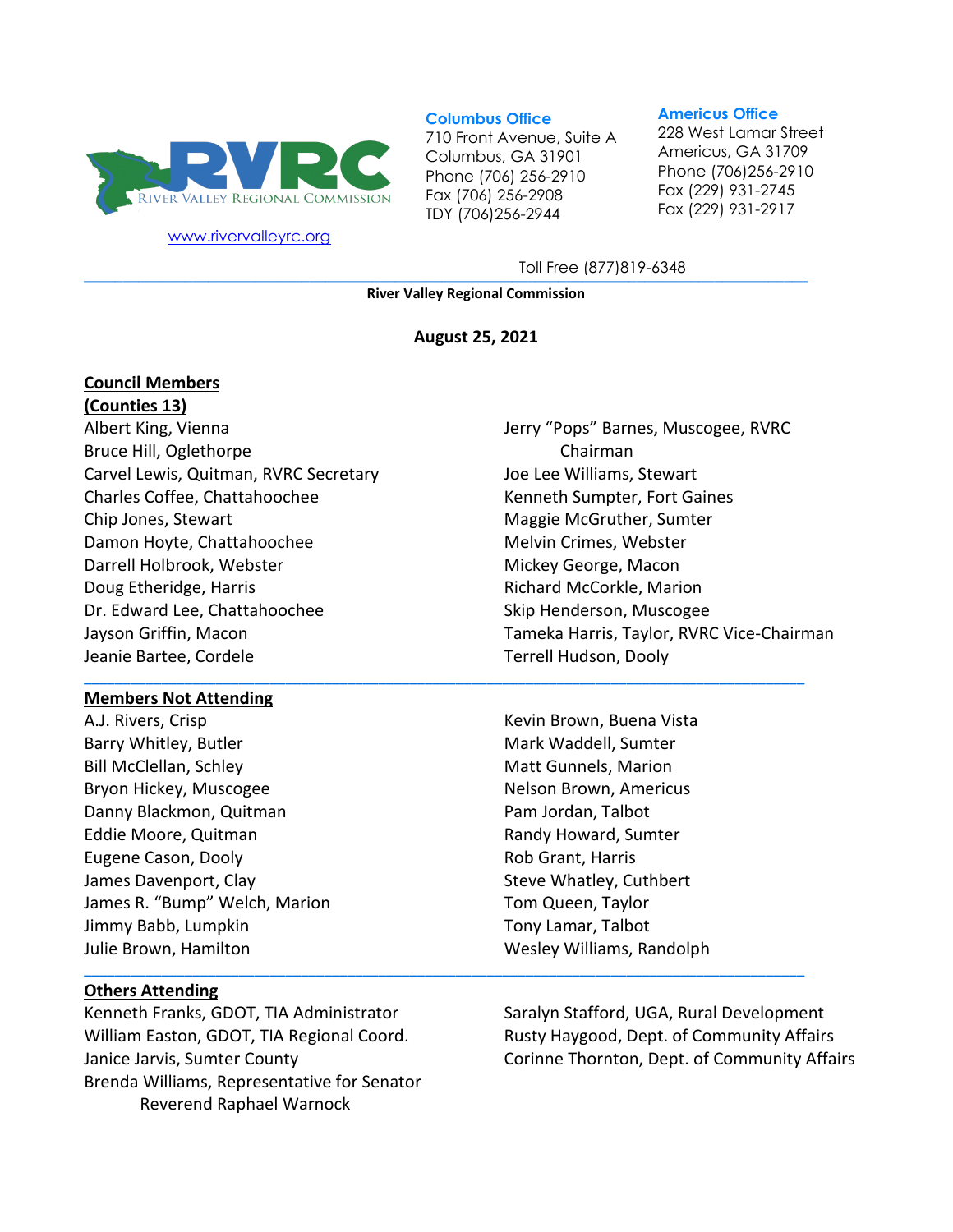

[www.rivervalleyrc.org](http://www.rivervalleyrc.org/)

#### **Columbus Office**

710 Front Avenue, Suite A Columbus, GA 31901 Phone (706) 256-2910 Fax (706) 256-2908 TDY (706)256-2944

#### **Americus Office**

228 West Lamar Street Americus, GA 31709 Phone (706)256-2910 Fax (229) 931-2745 Fax (229) 931-2917

**\_\_\_\_\_\_\_\_\_\_\_\_\_\_\_\_\_\_\_\_\_\_\_\_\_\_\_\_\_\_\_\_\_\_\_\_\_\_\_\_\_\_\_\_\_\_\_\_\_\_\_\_\_\_\_\_\_\_\_\_\_\_\_\_\_\_\_\_\_\_\_\_\_\_\_\_\_\_\_\_\_\_\_\_\_\_\_\_\_\_\_\_\_** Toll Free (877)819-6348

**River Valley Regional Commission**

#### **August 25, 2021**

**\_\_\_\_\_\_\_\_\_\_\_\_\_\_\_\_\_\_\_\_\_\_\_\_\_\_\_\_\_\_\_\_\_\_\_\_\_\_\_\_\_\_\_\_\_\_\_\_\_\_\_\_\_\_\_\_\_\_\_\_\_\_\_\_\_\_\_\_\_\_\_\_\_\_\_\_\_\_\_\_\_\_\_\_\_\_\_\_\_\_\_\_\_**

**\_\_\_\_\_\_\_\_\_\_\_\_\_\_\_\_\_\_\_\_\_\_\_\_\_\_\_\_\_\_\_\_\_\_\_\_\_\_\_\_\_\_\_\_\_\_\_\_\_\_\_\_\_\_\_\_\_\_\_\_\_\_\_\_\_\_\_\_\_\_\_\_\_\_\_\_\_\_\_\_\_\_\_\_\_\_\_\_\_\_\_\_\_**

# **Council Members**

**(Counties 13)** Albert King, Vienna Bruce Hill, Oglethorpe Carvel Lewis, Quitman, RVRC Secretary Charles Coffee, Chattahoochee Chip Jones, Stewart Damon Hoyte, Chattahoochee Darrell Holbrook, Webster Doug Etheridge, Harris Dr. Edward Lee, Chattahoochee Jayson Griffin, Macon Jeanie Bartee, Cordele

#### **Members Not Attending**

A.J. Rivers, Crisp Barry Whitley, Butler Bill McClellan, Schley Bryon Hickey, Muscogee Danny Blackmon, Quitman Eddie Moore, Quitman Eugene Cason, Dooly James Davenport, Clay James R. "Bump" Welch, Marion Jimmy Babb, Lumpkin Julie Brown, Hamilton

#### **Others Attending**

Kenneth Franks, GDOT, TIA Administrator William Easton, GDOT, TIA Regional Coord. Janice Jarvis, Sumter County Brenda Williams, Representative for Senator Reverend Raphael Warnock

Jerry "Pops" Barnes, Muscogee, RVRC Chairman Joe Lee Williams, Stewart Kenneth Sumpter, Fort Gaines Maggie McGruther, Sumter Melvin Crimes, Webster Mickey George, Macon Richard McCorkle, Marion Skip Henderson, Muscogee Tameka Harris, Taylor, RVRC Vice-Chairman Terrell Hudson, Dooly

Kevin Brown, Buena Vista Mark Waddell, Sumter Matt Gunnels, Marion Nelson Brown, Americus Pam Jordan, Talbot Randy Howard, Sumter Rob Grant, Harris Steve Whatley, Cuthbert Tom Queen, Taylor Tony Lamar, Talbot Wesley Williams, Randolph

Saralyn Stafford, UGA, Rural Development Rusty Haygood, Dept. of Community Affairs Corinne Thornton, Dept. of Community Affairs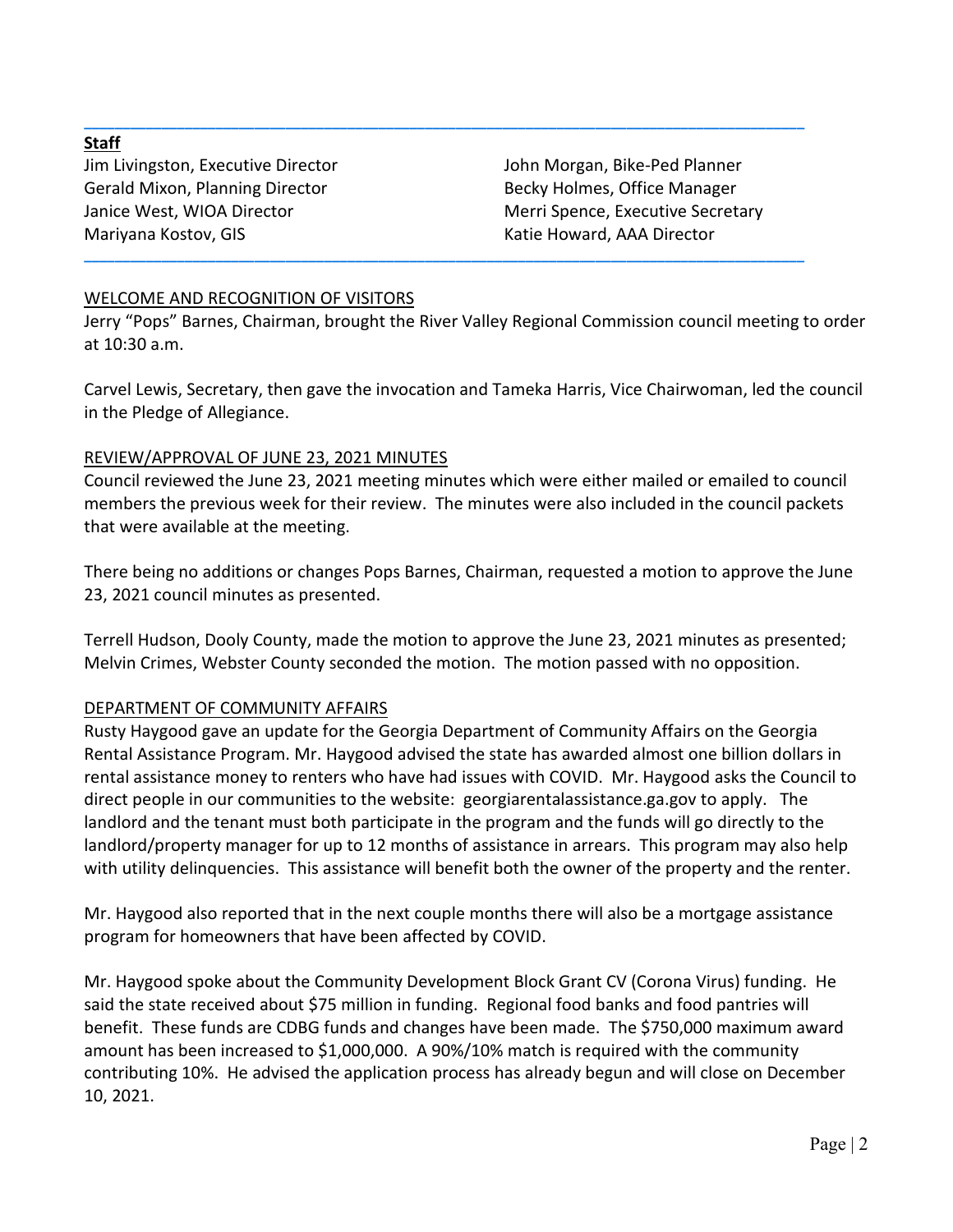#### **Staff**

Jim Livingston, Executive Director Gerald Mixon, Planning Director Janice West, WIOA Director Mariyana Kostov, GIS

John Morgan, Bike-Ped Planner Becky Holmes, Office Manager Merri Spence, Executive Secretary Katie Howard, AAA Director

## WELCOME AND RECOGNITION OF VISITORS

Jerry "Pops" Barnes, Chairman, brought the River Valley Regional Commission council meeting to order at 10:30 a.m.

**\_\_\_\_\_\_\_\_\_\_\_\_\_\_\_\_\_\_\_\_\_\_\_\_\_\_\_\_\_\_\_\_\_\_\_\_\_\_\_\_\_\_\_\_\_\_\_\_\_\_\_\_\_\_\_\_\_\_\_\_\_\_\_\_\_\_\_\_\_\_\_\_\_\_\_\_\_\_\_\_\_\_\_\_\_\_\_\_\_\_\_\_\_**

**\_\_\_\_\_\_\_\_\_\_\_\_\_\_\_\_\_\_\_\_\_\_\_\_\_\_\_\_\_\_\_\_\_\_\_\_\_\_\_\_\_\_\_\_\_\_\_\_\_\_\_\_\_\_\_\_\_\_\_\_\_\_\_\_\_\_\_\_\_\_\_\_\_\_\_\_\_\_\_\_\_\_\_\_\_\_\_\_\_\_\_\_\_**

Carvel Lewis, Secretary, then gave the invocation and Tameka Harris, Vice Chairwoman, led the council in the Pledge of Allegiance.

#### REVIEW/APPROVAL OF JUNE 23, 2021 MINUTES

Council reviewed the June 23, 2021 meeting minutes which were either mailed or emailed to council members the previous week for their review. The minutes were also included in the council packets that were available at the meeting.

There being no additions or changes Pops Barnes, Chairman, requested a motion to approve the June 23, 2021 council minutes as presented.

Terrell Hudson, Dooly County, made the motion to approve the June 23, 2021 minutes as presented; Melvin Crimes, Webster County seconded the motion. The motion passed with no opposition.

#### DEPARTMENT OF COMMUNITY AFFAIRS

Rusty Haygood gave an update for the Georgia Department of Community Affairs on the Georgia Rental Assistance Program. Mr. Haygood advised the state has awarded almost one billion dollars in rental assistance money to renters who have had issues with COVID. Mr. Haygood asks the Council to direct people in our communities to the website: georgiarentalassistance.ga.gov to apply. The landlord and the tenant must both participate in the program and the funds will go directly to the landlord/property manager for up to 12 months of assistance in arrears. This program may also help with utility delinquencies. This assistance will benefit both the owner of the property and the renter.

Mr. Haygood also reported that in the next couple months there will also be a mortgage assistance program for homeowners that have been affected by COVID.

Mr. Haygood spoke about the Community Development Block Grant CV (Corona Virus) funding. He said the state received about \$75 million in funding. Regional food banks and food pantries will benefit. These funds are CDBG funds and changes have been made. The \$750,000 maximum award amount has been increased to \$1,000,000. A 90%/10% match is required with the community contributing 10%. He advised the application process has already begun and will close on December 10, 2021.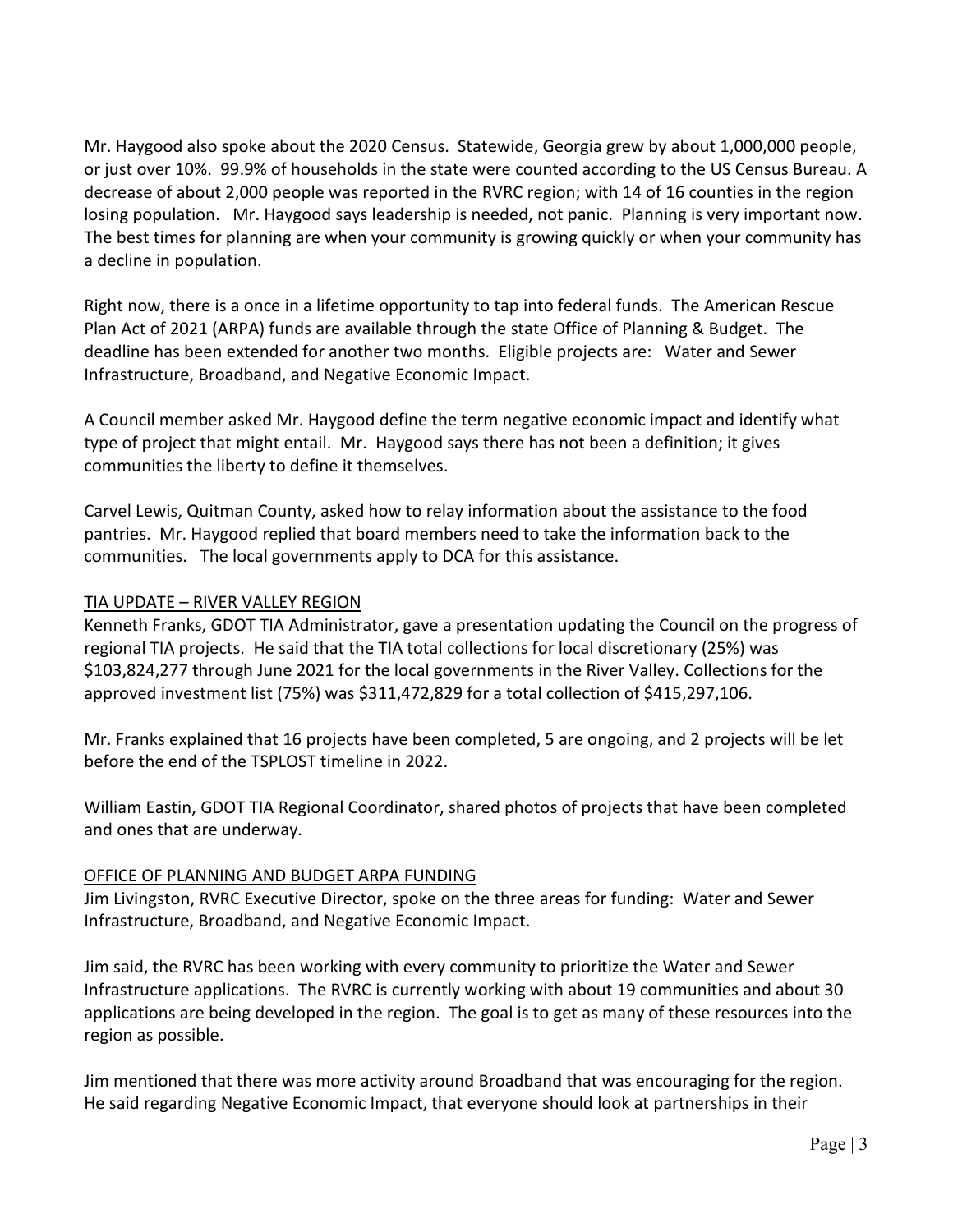Mr. Haygood also spoke about the 2020 Census. Statewide, Georgia grew by about 1,000,000 people, or just over 10%. 99.9% of households in the state were counted according to the US Census Bureau. A decrease of about 2,000 people was reported in the RVRC region; with 14 of 16 counties in the region losing population. Mr. Haygood says leadership is needed, not panic. Planning is very important now. The best times for planning are when your community is growing quickly or when your community has a decline in population.

Right now, there is a once in a lifetime opportunity to tap into federal funds. The American Rescue Plan Act of 2021 (ARPA) funds are available through the state Office of Planning & Budget. The deadline has been extended for another two months. Eligible projects are: Water and Sewer Infrastructure, Broadband, and Negative Economic Impact.

A Council member asked Mr. Haygood define the term negative economic impact and identify what type of project that might entail. Mr. Haygood says there has not been a definition; it gives communities the liberty to define it themselves.

Carvel Lewis, Quitman County, asked how to relay information about the assistance to the food pantries. Mr. Haygood replied that board members need to take the information back to the communities. The local governments apply to DCA for this assistance.

## TIA UPDATE – RIVER VALLEY REGION

Kenneth Franks, GDOT TIA Administrator, gave a presentation updating the Council on the progress of regional TIA projects. He said that the TIA total collections for local discretionary (25%) was \$103,824,277 through June 2021 for the local governments in the River Valley. Collections for the approved investment list (75%) was \$311,472,829 for a total collection of \$415,297,106.

Mr. Franks explained that 16 projects have been completed, 5 are ongoing, and 2 projects will be let before the end of the TSPLOST timeline in 2022.

William Eastin, GDOT TIA Regional Coordinator, shared photos of projects that have been completed and ones that are underway.

#### OFFICE OF PLANNING AND BUDGET ARPA FUNDING

Jim Livingston, RVRC Executive Director, spoke on the three areas for funding: Water and Sewer Infrastructure, Broadband, and Negative Economic Impact.

Jim said, the RVRC has been working with every community to prioritize the Water and Sewer Infrastructure applications. The RVRC is currently working with about 19 communities and about 30 applications are being developed in the region. The goal is to get as many of these resources into the region as possible.

Jim mentioned that there was more activity around Broadband that was encouraging for the region. He said regarding Negative Economic Impact, that everyone should look at partnerships in their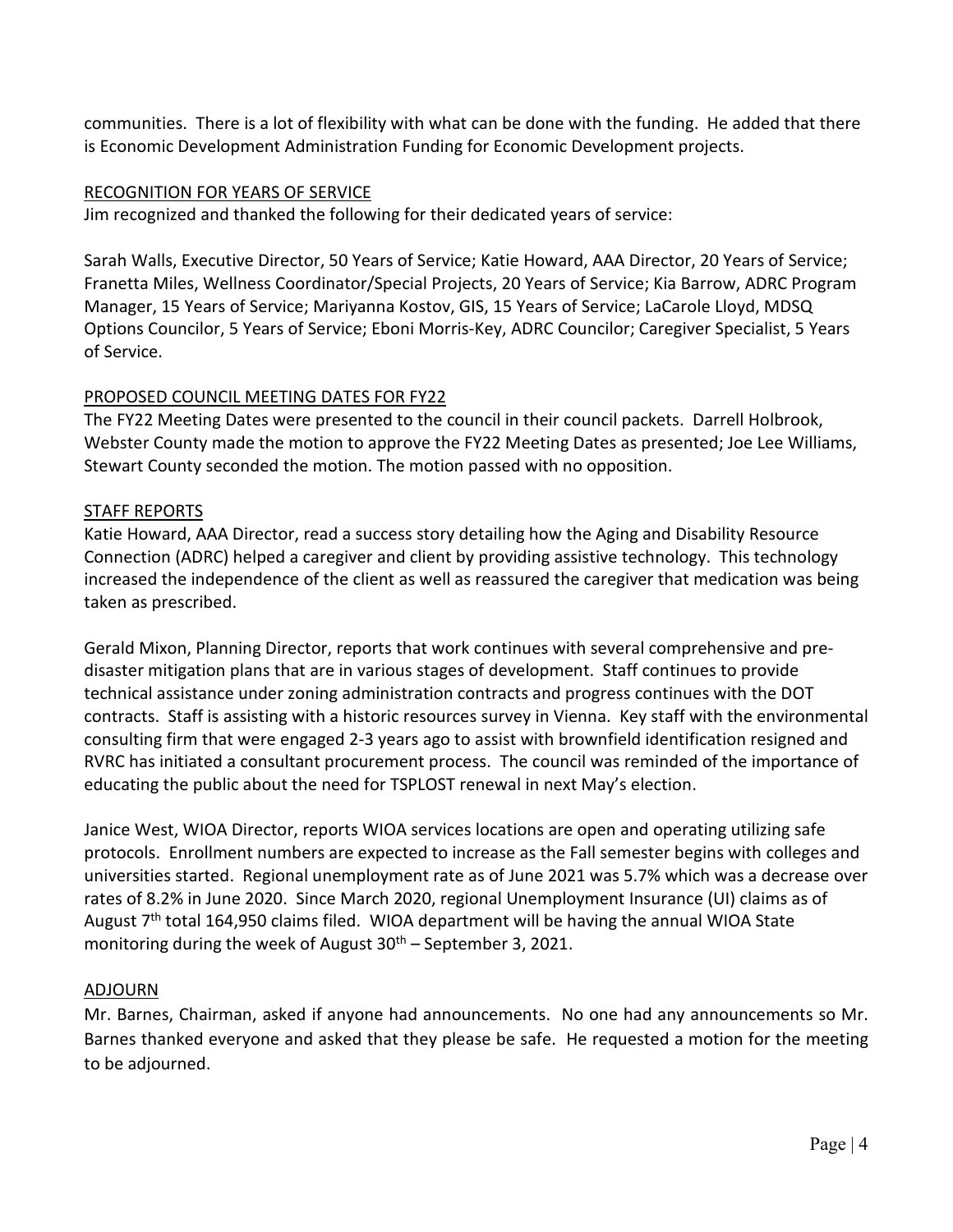communities. There is a lot of flexibility with what can be done with the funding. He added that there is Economic Development Administration Funding for Economic Development projects.

### RECOGNITION FOR YEARS OF SERVICE

Jim recognized and thanked the following for their dedicated years of service:

Sarah Walls, Executive Director, 50 Years of Service; Katie Howard, AAA Director, 20 Years of Service; Franetta Miles, Wellness Coordinator/Special Projects, 20 Years of Service; Kia Barrow, ADRC Program Manager, 15 Years of Service; Mariyanna Kostov, GIS, 15 Years of Service; LaCarole Lloyd, MDSQ Options Councilor, 5 Years of Service; Eboni Morris-Key, ADRC Councilor; Caregiver Specialist, 5 Years of Service.

# PROPOSED COUNCIL MEETING DATES FOR FY22

The FY22 Meeting Dates were presented to the council in their council packets. Darrell Holbrook, Webster County made the motion to approve the FY22 Meeting Dates as presented; Joe Lee Williams, Stewart County seconded the motion. The motion passed with no opposition.

## STAFF REPORTS

Katie Howard, AAA Director, read a success story detailing how the Aging and Disability Resource Connection (ADRC) helped a caregiver and client by providing assistive technology. This technology increased the independence of the client as well as reassured the caregiver that medication was being taken as prescribed.

Gerald Mixon, Planning Director, reports that work continues with several comprehensive and predisaster mitigation plans that are in various stages of development. Staff continues to provide technical assistance under zoning administration contracts and progress continues with the DOT contracts. Staff is assisting with a historic resources survey in Vienna. Key staff with the environmental consulting firm that were engaged 2-3 years ago to assist with brownfield identification resigned and RVRC has initiated a consultant procurement process. The council was reminded of the importance of educating the public about the need for TSPLOST renewal in next May's election.

Janice West, WIOA Director, reports WIOA services locations are open and operating utilizing safe protocols. Enrollment numbers are expected to increase as the Fall semester begins with colleges and universities started. Regional unemployment rate as of June 2021 was 5.7% which was a decrease over rates of 8.2% in June 2020. Since March 2020, regional Unemployment Insurance (UI) claims as of August  $7<sup>th</sup>$  total 164,950 claims filed. WIOA department will be having the annual WIOA State monitoring during the week of August  $30<sup>th</sup>$  – September 3, 2021.

# ADJOURN

Mr. Barnes, Chairman, asked if anyone had announcements. No one had any announcements so Mr. Barnes thanked everyone and asked that they please be safe. He requested a motion for the meeting to be adjourned.